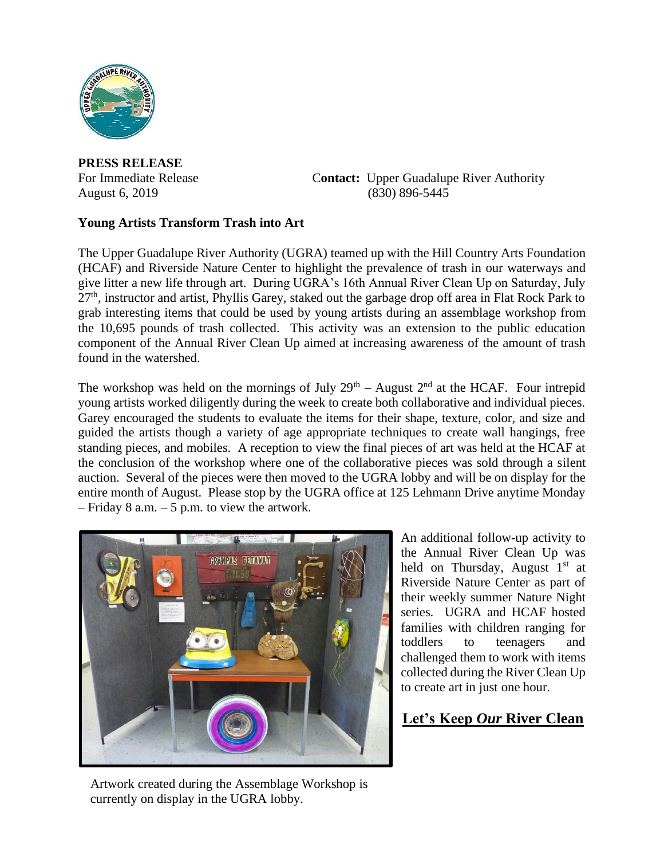

**PRESS RELEASE**

For Immediate Release **Contact:** Upper Guadalupe River Authority August 6, 2019 (830) 896-5445

## **Young Artists Transform Trash into Art**

The Upper Guadalupe River Authority (UGRA) teamed up with the Hill Country Arts Foundation (HCAF) and Riverside Nature Center to highlight the prevalence of trash in our waterways and give litter a new life through art. During UGRA's 16th Annual River Clean Up on Saturday, July  $27<sup>th</sup>$ , instructor and artist, Phyllis Garey, staked out the garbage drop off area in Flat Rock Park to grab interesting items that could be used by young artists during an assemblage workshop from the 10,695 pounds of trash collected. This activity was an extension to the public education component of the Annual River Clean Up aimed at increasing awareness of the amount of trash found in the watershed.

The workshop was held on the mornings of July  $29<sup>th</sup>$  – August  $2<sup>nd</sup>$  at the HCAF. Four intrepid young artists worked diligently during the week to create both collaborative and individual pieces. Garey encouraged the students to evaluate the items for their shape, texture, color, and size and guided the artists though a variety of age appropriate techniques to create wall hangings, free standing pieces, and mobiles. A reception to view the final pieces of art was held at the HCAF at the conclusion of the workshop where one of the collaborative pieces was sold through a silent auction. Several of the pieces were then moved to the UGRA lobby and will be on display for the entire month of August. Please stop by the UGRA office at 125 Lehmann Drive anytime Monday  $-$  Friday 8 a.m.  $-5$  p.m. to view the artwork.



An additional follow-up activity to the Annual River Clean Up was held on Thursday, August  $1<sup>st</sup>$  at Riverside Nature Center as part of their weekly summer Nature Night series. UGRA and HCAF hosted families with children ranging for toddlers to teenagers and challenged them to work with items collected during the River Clean Up to create art in just one hour.

## **Let's Keep** *Our* **River Clean**

Artwork created during the Assemblage Workshop is currently on display in the UGRA lobby.